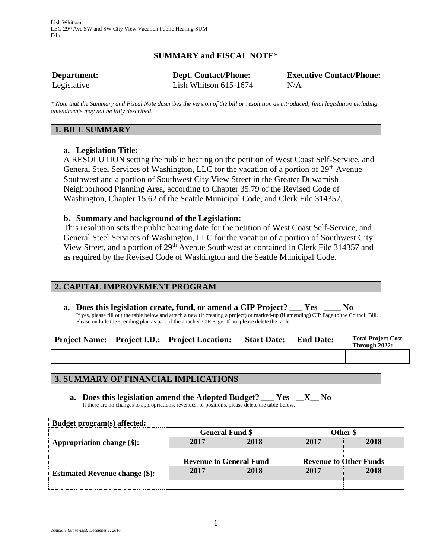# **SUMMARY and FISCAL NOTE\***

| Department: | <b>Dept. Contact/Phone:</b> | <b>Executive Contact/Phone:</b> |  |  |
|-------------|-----------------------------|---------------------------------|--|--|
| Legislative | Lish Whitson $615-1674$     | N/A                             |  |  |

*\* Note that the Summary and Fiscal Note describes the version of the bill or resolution as introduced; final legislation including amendments may not be fully described.*

## **1. BILL SUMMARY**

# **a. Legislation Title:**

A RESOLUTION setting the public hearing on the petition of West Coast Self-Service, and General Steel Services of Washington, LLC for the vacation of a portion of 29<sup>th</sup> Avenue Southwest and a portion of Southwest City View Street in the Greater Duwamish Neighborhood Planning Area, according to Chapter 35.79 of the Revised Code of Washington, Chapter 15.62 of the Seattle Municipal Code, and Clerk File 314357.

### **b. Summary and background of the Legislation:**

This resolution sets the public hearing date for the petition of West Coast Self-Service, and General Steel Services of Washington, LLC for the vacation of a portion of Southwest City View Street, and a portion of 29<sup>th</sup> Avenue Southwest as contained in Clerk File 314357 and as required by the Revised Code of Washington and the Seattle Municipal Code.

### **2. CAPITAL IMPROVEMENT PROGRAM**

**a. Does this legislation create, fund, or amend a CIP Project? \_\_\_ Yes \_\_\_\_ No** If yes, please fill out the table below and attach a new (if creating a project) or marked-up (if amending) CIP Page to the Council Bill. Please include the spending plan as part of the attached CIP Page. If no, please delete the table.

|  | <b>Project Name:</b> Project I.D.: Project Location: | <b>Start Date:</b> | <b>End Date:</b> | <b>Total Project Cost</b><br>Through 2022: |
|--|------------------------------------------------------|--------------------|------------------|--------------------------------------------|
|  |                                                      |                    |                  |                                            |

### **3. SUMMARY OF FINANCIAL IMPLICATIONS**

**a. Does this legislation amend the Adopted Budget? \_\_\_ Yes \_\_X\_\_ No** If there are no changes to appropriations, revenues, or positions, please delete the table below.

| Budget program(s) affected:           |                                |      |                               |      |
|---------------------------------------|--------------------------------|------|-------------------------------|------|
|                                       | <b>General Fund \$</b>         |      | Other \$                      |      |
| Appropriation change (\$):            | 2017                           | 2018 | 2017                          | 2018 |
|                                       |                                |      |                               |      |
|                                       | <b>Revenue to General Fund</b> |      | <b>Revenue to Other Funds</b> |      |
| <b>Estimated Revenue change (\$):</b> | 2017                           | 2018 | 2017                          | 2018 |
|                                       |                                |      |                               |      |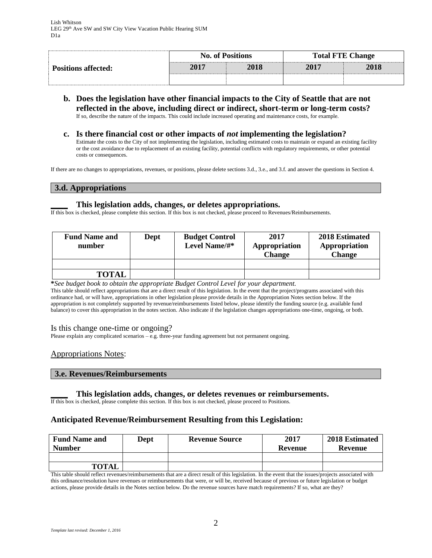| <b>Positions affected:</b> |      | <b>No. of Positions</b> | <b>Total FTE Change</b> |      |  |
|----------------------------|------|-------------------------|-------------------------|------|--|
|                            | 2017 | 2018                    | 2017                    | 2018 |  |
|                            |      |                         |                         |      |  |

- **b. Does the legislation have other financial impacts to the City of Seattle that are not reflected in the above, including direct or indirect, short-term or long-term costs?** If so, describe the nature of the impacts. This could include increased operating and maintenance costs, for example.
- **c. Is there financial cost or other impacts of** *not* **implementing the legislation?** Estimate the costs to the City of not implementing the legislation, including estimated costs to maintain or expand an existing facility or the cost avoidance due to replacement of an existing facility, potential conflicts with regulatory requirements, or other potential

If there are no changes to appropriations, revenues, or positions, please delete sections 3.d., 3.e., and 3.f. and answer the questions in Section 4.

### **3.d. Appropriations**

costs or consequences.

#### **\_\_\_\_ This legislation adds, changes, or deletes appropriations.**

If this box is checked, please complete this section. If this box is not checked, please proceed to Revenues/Reimbursements.

| <b>Fund Name and</b><br>number | Dept | <b>Budget Control</b><br>Level Name/#* | 2017<br>Appropriation<br><b>Change</b> | 2018 Estimated<br>Appropriation<br><b>Change</b> |
|--------------------------------|------|----------------------------------------|----------------------------------------|--------------------------------------------------|
|                                |      |                                        |                                        |                                                  |
| <b>TOTAL</b>                   |      |                                        |                                        |                                                  |

**\****See budget book to obtain the appropriate Budget Control Level for your department.*

This table should reflect appropriations that are a direct result of this legislation. In the event that the project/programs associated with this ordinance had, or will have, appropriations in other legislation please provide details in the Appropriation Notes section below. If the appropriation is not completely supported by revenue/reimbursements listed below, please identify the funding source (e.g. available fund balance) to cover this appropriation in the notes section. Also indicate if the legislation changes appropriations one-time, ongoing, or both.

#### Is this change one-time or ongoing?

Please explain any complicated scenarios – e.g. three-year funding agreement but not permanent ongoing.

#### Appropriations Notes:

#### **3.e. Revenues/Reimbursements**

#### **\_\_\_\_ This legislation adds, changes, or deletes revenues or reimbursements.**

If this box is checked, please complete this section. If this box is not checked, please proceed to Positions.

#### **Anticipated Revenue/Reimbursement Resulting from this Legislation:**

| <b>Fund Name and</b><br><b>Number</b> | <b>Dept</b> | <b>Revenue Source</b> | 2017<br>Revenue | 2018 Estimated<br><b>Revenue</b> |
|---------------------------------------|-------------|-----------------------|-----------------|----------------------------------|
|                                       |             |                       |                 |                                  |
| <b>TOTAL</b>                          |             |                       |                 |                                  |

This table should reflect revenues/reimbursements that are a direct result of this legislation. In the event that the issues/projects associated with this ordinance/resolution have revenues or reimbursements that were, or will be, received because of previous or future legislation or budget actions, please provide details in the Notes section below. Do the revenue sources have match requirements? If so, what are they?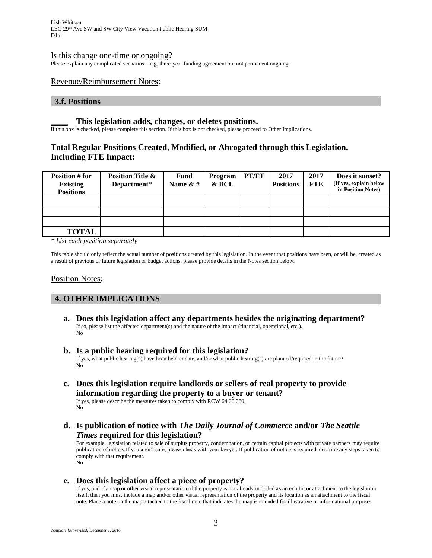Lish Whitson LEG 29th Ave SW and SW City View Vacation Public Hearing SUM D1a

#### Is this change one-time or ongoing?

Please explain any complicated scenarios – e.g. three-year funding agreement but not permanent ongoing.

#### Revenue/Reimbursement Notes:

#### **3.f. Positions**

#### **\_\_\_\_ This legislation adds, changes, or deletes positions.**

If this box is checked, please complete this section. If this box is not checked, please proceed to Other Implications.

### **Total Regular Positions Created, Modified, or Abrogated through this Legislation, Including FTE Impact:**

| Position # for<br><b>Existing</b><br><b>Positions</b> | <b>Position Title &amp;</b><br>Department* | <b>Fund</b><br>Name $&#</math></th><th>Program<br>& BCL</th><th>PT/FT</th><th>2017<br><b>Positions</b></th><th>2017<br><b>FTE</b></th><th>Does it sunset?<br>(If yes, explain below<br>in Position Notes)</th></tr><tr><td></td><td></td><td></td><td></td><td></td><td></td><td></td><td></td></tr><tr><td></td><td></td><td></td><td></td><td></td><td></td><td></td><td></td></tr><tr><td></td><td></td><td></td><td></td><td></td><td></td><td></td><td></td></tr><tr><td><b>TOTAL</b></td><td></td><td></td><td></td><td></td><td></td><td></td><td></td></tr></tbody></table>$ |
|-------------------------------------------------------|--------------------------------------------|--------------------------------------------------------------------------------------------------------------------------------------------------------------------------------------------------------------------------------------------------------------------------------------------------------------------------------------------------------------------------------------------------------------------------------------------------------------------------------------------------------------------------------------------------------------------------------------|
|-------------------------------------------------------|--------------------------------------------|--------------------------------------------------------------------------------------------------------------------------------------------------------------------------------------------------------------------------------------------------------------------------------------------------------------------------------------------------------------------------------------------------------------------------------------------------------------------------------------------------------------------------------------------------------------------------------------|

*\* List each position separately*

This table should only reflect the actual number of positions created by this legislation. In the event that positions have been, or will be, created as a result of previous or future legislation or budget actions, please provide details in the Notes section below.

#### Position Notes:

No

### **4. OTHER IMPLICATIONS**

- **a. Does this legislation affect any departments besides the originating department?** If so, please list the affected department(s) and the nature of the impact (financial, operational, etc.). No
- **b. Is a public hearing required for this legislation?** If yes, what public hearing(s) have been held to date, and/or what public hearing(s) are planned/required in the future? No
- **c. Does this legislation require landlords or sellers of real property to provide information regarding the property to a buyer or tenant?** If yes, please describe the measures taken to comply with RCW 64.06.080.
- **d. Is publication of notice with** *The Daily Journal of Commerce* **and/or** *The Seattle Times* **required for this legislation?**

For example, legislation related to sale of surplus property, condemnation, or certain capital projects with private partners may require publication of notice. If you aren't sure, please check with your lawyer. If publication of notice is required, describe any steps taken to comply with that requirement. No

#### **e. Does this legislation affect a piece of property?**

If yes, and if a map or other visual representation of the property is not already included as an exhibit or attachment to the legislation itself, then you must include a map and/or other visual representation of the property and its location as an attachment to the fiscal note. Place a note on the map attached to the fiscal note that indicates the map is intended for illustrative or informational purposes